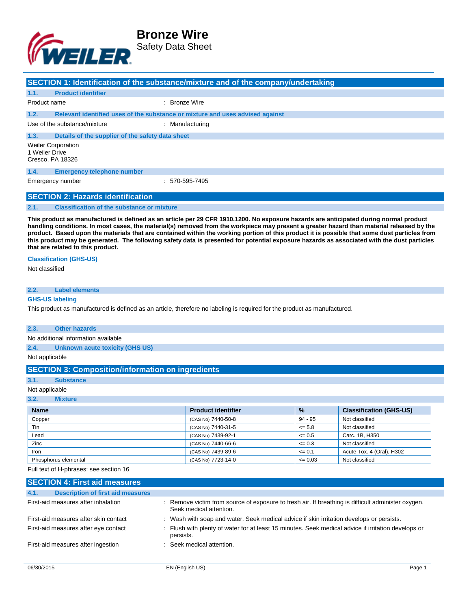

|              |                                                                 | SECTION 1: Identification of the substance/mixture and of the company/undertaking |
|--------------|-----------------------------------------------------------------|-----------------------------------------------------------------------------------|
| 1.1.         | <b>Product identifier</b>                                       |                                                                                   |
| Product name |                                                                 | : Bronze Wire                                                                     |
| 1.2.         |                                                                 | Relevant identified uses of the substance or mixture and uses advised against     |
|              | Use of the substance/mixture                                    | : Manufacturing                                                                   |
| 1.3.         | Details of the supplier of the safety data sheet                |                                                                                   |
|              | <b>Weiler Corporation</b><br>1 Weiler Drive<br>Cresco, PA 18326 |                                                                                   |
| 1.4.         | <b>Emergency telephone number</b>                               |                                                                                   |
|              | Emergency number                                                | $: 570 - 595 - 7495$                                                              |
|              | <b>SECTION 2: Hazards identification</b>                        |                                                                                   |

#### **2.1. Classification of the substance or mixture**

**This product as manufactured is defined as an article per 29 CFR 1910.1200. No exposure hazards are anticipated during normal product handling conditions. In most cases, the material(s) removed from the workpiece may present a greater hazard than material released by the product. Based upon the materials that are contained within the working portion of this product it is possible that some dust particles from this product may be generated. The following safety data is presented for potential exposure hazards as associated with the dust particles that are related to this product.**

#### **Classification (GHS-US)**

Not classified

#### **2.2. Label elements**

#### **GHS-US labeling**

This product as manufactured is defined as an article, therefore no labeling is required for the product as manufactured.

#### **2.3. Other hazards**

No additional information available

**2.4. Unknown acute toxicity (GHS US)**

Not applicable

### **SECTION 3: Composition/information on ingredients**

**3.1. Substance**

#### Not applicable

**3.2. Mixture**

| <b>Name</b>          | <b>Product identifier</b> | $\frac{9}{6}$ | <b>Classification (GHS-US)</b> |
|----------------------|---------------------------|---------------|--------------------------------|
| Copper               | (CAS No) 7440-50-8        | 94 - 95       | Not classified                 |
| Tin                  | (CAS No) 7440-31-5        | $\leq 5.8$    | Not classified                 |
| Lead                 | (CAS No) 7439-92-1        | $\leq 0.5$    | Carc. 1B, H350                 |
| Zinc                 | (CAS No) 7440-66-6        | $\leq 0.3$    | Not classified                 |
| Iron                 | (CAS No) 7439-89-6        | $\leq 0.1$    | Acute Tox. 4 (Oral), H302      |
| Phosphorus elemental | (CAS No) 7723-14-0        | $\leq 0.03$   | Not classified                 |

Full text of H-phrases: see section 16

| <b>SECTION 4: First aid measures</b>             |                                                                                                                               |
|--------------------------------------------------|-------------------------------------------------------------------------------------------------------------------------------|
| 4.1.<br><b>Description of first aid measures</b> |                                                                                                                               |
| First-aid measures after inhalation              | : Remove victim from source of exposure to fresh air. If breathing is difficult administer oxygen.<br>Seek medical attention. |
| First-aid measures after skin contact            | : Wash with soap and water. Seek medical advice if skin irritation develops or persists.                                      |
| First-aid measures after eye contact             | : Flush with plenty of water for at least 15 minutes. Seek medical advice if irritation develops or<br>persists.              |
| First-aid measures after ingestion               | : Seek medical attention.                                                                                                     |
|                                                  |                                                                                                                               |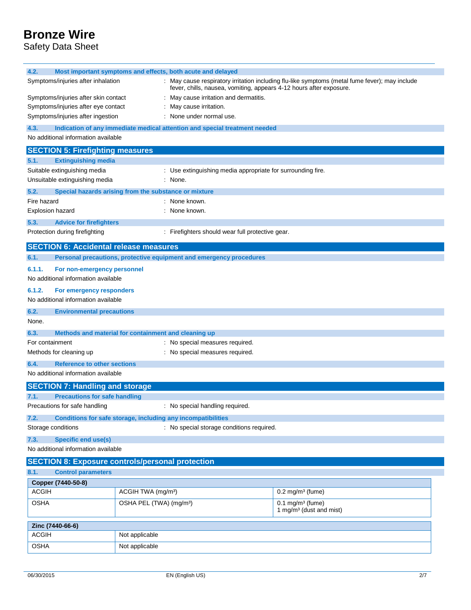Safety Data Sheet

| 4.2.                                          | Most important symptoms and effects, both acute and delayed |                                                       |                                                                                                           |                                                                                                |
|-----------------------------------------------|-------------------------------------------------------------|-------------------------------------------------------|-----------------------------------------------------------------------------------------------------------|------------------------------------------------------------------------------------------------|
| Symptoms/injuries after inhalation            |                                                             |                                                       | fever, chills, nausea, vomiting, appears 4-12 hours after exposure.                                       | : May cause respiratory irritation including flu-like symptoms (metal fume fever); may include |
| Symptoms/injuries after skin contact          |                                                             |                                                       | May cause irritation and dermatitis.                                                                      |                                                                                                |
| Symptoms/injuries after eye contact           |                                                             |                                                       | May cause irritation.                                                                                     |                                                                                                |
| Symptoms/injuries after ingestion             |                                                             |                                                       | None under normal use.                                                                                    |                                                                                                |
| 4.3.                                          |                                                             |                                                       | Indication of any immediate medical attention and special treatment needed                                |                                                                                                |
| No additional information available           |                                                             |                                                       |                                                                                                           |                                                                                                |
| <b>SECTION 5: Firefighting measures</b>       |                                                             |                                                       |                                                                                                           |                                                                                                |
| 5.1.                                          | <b>Extinguishing media</b>                                  |                                                       |                                                                                                           |                                                                                                |
| Suitable extinguishing media                  |                                                             |                                                       | : Use extinguishing media appropriate for surrounding fire.                                               |                                                                                                |
| Unsuitable extinguishing media                |                                                             |                                                       | : None.                                                                                                   |                                                                                                |
| 5.2.                                          |                                                             | Special hazards arising from the substance or mixture |                                                                                                           |                                                                                                |
| Fire hazard                                   |                                                             |                                                       | None known.                                                                                               |                                                                                                |
| Explosion hazard                              |                                                             |                                                       | None known.                                                                                               |                                                                                                |
| 5.3.                                          | <b>Advice for firefighters</b>                              |                                                       |                                                                                                           |                                                                                                |
| Protection during firefighting                |                                                             |                                                       | : Firefighters should wear full protective gear.                                                          |                                                                                                |
| <b>SECTION 6: Accidental release measures</b> |                                                             |                                                       |                                                                                                           |                                                                                                |
| 6.1.                                          |                                                             |                                                       | Personal precautions, protective equipment and emergency procedures                                       |                                                                                                |
| 6.1.1.                                        | For non-emergency personnel                                 |                                                       |                                                                                                           |                                                                                                |
| No additional information available           |                                                             |                                                       |                                                                                                           |                                                                                                |
| 6.1.2.                                        | For emergency responders                                    |                                                       |                                                                                                           |                                                                                                |
| No additional information available           |                                                             |                                                       |                                                                                                           |                                                                                                |
| 6.2.                                          | <b>Environmental precautions</b>                            |                                                       |                                                                                                           |                                                                                                |
| None.                                         |                                                             |                                                       |                                                                                                           |                                                                                                |
| 6.3.                                          |                                                             | Methods and material for containment and cleaning up  |                                                                                                           |                                                                                                |
| For containment                               |                                                             |                                                       | : No special measures required.                                                                           |                                                                                                |
| Methods for cleaning up                       |                                                             |                                                       | No special measures required.                                                                             |                                                                                                |
| 6.4.                                          | <b>Reference to other sections</b>                          |                                                       |                                                                                                           |                                                                                                |
| No additional information available           |                                                             |                                                       |                                                                                                           |                                                                                                |
| <b>SECTION 7: Handling and storage</b>        |                                                             |                                                       |                                                                                                           |                                                                                                |
| 7.1.                                          | <b>Precautions for safe handling</b>                        |                                                       |                                                                                                           |                                                                                                |
| Precautions for safe handling                 |                                                             |                                                       | : No special handling required.                                                                           |                                                                                                |
|                                               |                                                             |                                                       |                                                                                                           |                                                                                                |
| 7.2.<br>Storage conditions                    |                                                             |                                                       | Conditions for safe storage, including any incompatibilities<br>: No special storage conditions required. |                                                                                                |
|                                               |                                                             |                                                       |                                                                                                           |                                                                                                |
| 7.3.                                          | <b>Specific end use(s)</b>                                  |                                                       |                                                                                                           |                                                                                                |
|                                               | No additional information available                         |                                                       |                                                                                                           |                                                                                                |
|                                               | <b>SECTION 8: Exposure controls/personal protection</b>     |                                                       |                                                                                                           |                                                                                                |
| 8.1.                                          | <b>Control parameters</b>                                   |                                                       |                                                                                                           |                                                                                                |
| Copper (7440-50-8)                            |                                                             |                                                       |                                                                                                           |                                                                                                |
| <b>ACGIH</b>                                  |                                                             | ACGIH TWA (mg/m <sup>3</sup> )                        |                                                                                                           | $0.2$ mg/m <sup>3</sup> (fume)                                                                 |
| <b>OSHA</b>                                   |                                                             | OSHA PEL (TWA) (mg/m <sup>3</sup> )                   |                                                                                                           | $0.1$ mg/m <sup>3</sup> (fume)<br>1 mg/m <sup>3</sup> (dust and mist)                          |
| Zinc (7440-66-6)                              |                                                             |                                                       |                                                                                                           |                                                                                                |
| <b>ACGIH</b>                                  |                                                             | Not applicable                                        |                                                                                                           |                                                                                                |
| <b>OSHA</b>                                   |                                                             | Not applicable                                        |                                                                                                           |                                                                                                |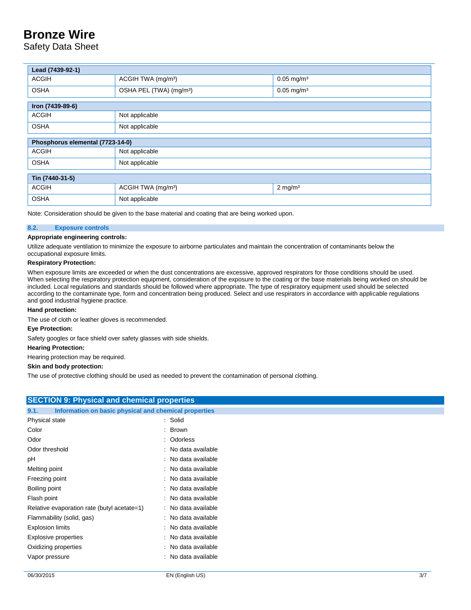Safety Data Sheet

| Lead (7439-92-1)                 |                                     |                          |  |  |
|----------------------------------|-------------------------------------|--------------------------|--|--|
| <b>ACGIH</b>                     | ACGIH TWA (mg/m <sup>3</sup> )      | $0.05$ mg/m <sup>3</sup> |  |  |
| <b>OSHA</b>                      | OSHA PEL (TWA) (mg/m <sup>3</sup> ) | $0.05$ mg/m <sup>3</sup> |  |  |
| Iron (7439-89-6)                 |                                     |                          |  |  |
| <b>ACGIH</b>                     | Not applicable                      |                          |  |  |
| <b>OSHA</b>                      | Not applicable                      |                          |  |  |
| Phosphorus elemental (7723-14-0) |                                     |                          |  |  |
| <b>ACGIH</b>                     | Not applicable                      |                          |  |  |
| <b>OSHA</b>                      | Not applicable                      |                          |  |  |
| Tin (7440-31-5)                  |                                     |                          |  |  |
| <b>ACGIH</b>                     | ACGIH TWA (mg/m <sup>3</sup> )      | $2$ mg/m <sup>3</sup>    |  |  |
| <b>OSHA</b>                      | Not applicable                      |                          |  |  |

Note: Consideration should be given to the base material and coating that are being worked upon.

### **8.2. Exposure controls**

### **Appropriate engineering controls:**

Utilize adequate ventilation to minimize the exposure to airborne particulates and maintain the concentration of contaminants below the occupational exposure limits.

#### **Respiratory Protection:**

When exposure limits are exceeded or when the dust concentrations are excessive, approved respirators for those conditions should be used. When selecting the respiratory protection equipment, consideration of the exposure to the coating or the base materials being worked on should be included. Local regulations and standards should be followed where appropriate. The type of respiratory equipment used should be selected according to the contaminate type, form and concentration being produced. Select and use respirators in accordance with applicable regulations and good industrial hygiene practice.

#### **Hand protection:**

The use of cloth or leather gloves is recommended.

#### **Eye Protection:**

Safety googles or face shield over safety glasses with side shields.

#### **Hearing Protection:**

Hearing protection may be required.

#### **Skin and body protection:**

The use of protective clothing should be used as needed to prevent the contamination of personal clothing.

| <b>SECTION 9: Physical and chemical properties</b>            |                     |     |
|---------------------------------------------------------------|---------------------|-----|
| Information on basic physical and chemical properties<br>9.1. |                     |     |
| Physical state                                                | : Solid             |     |
| Color                                                         | : Brown             |     |
| Odor                                                          | : Odorless          |     |
| Odor threshold                                                | : No data available |     |
| рH                                                            | : No data available |     |
| Melting point                                                 | : No data available |     |
| Freezing point                                                | : No data available |     |
| Boiling point                                                 | : No data available |     |
| Flash point                                                   | : No data available |     |
| Relative evaporation rate (butyl acetate=1)                   | : No data available |     |
| Flammability (solid, gas)                                     | : No data available |     |
| <b>Explosion limits</b>                                       | : No data available |     |
| Explosive properties                                          | : No data available |     |
| Oxidizing properties                                          | : No data available |     |
| Vapor pressure                                                | : No data available |     |
|                                                               |                     |     |
| 06/30/2015                                                    | EN (English US)     | 3/7 |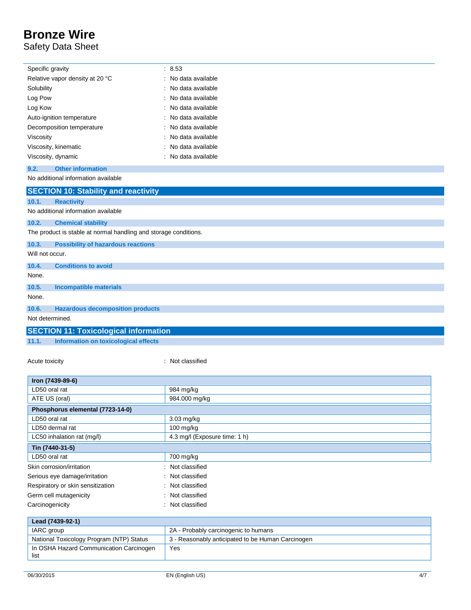## Safety Data Sheet

 $\overline{a}$ 

|                                                                  | Specific gravity                             |  | 8.53              |
|------------------------------------------------------------------|----------------------------------------------|--|-------------------|
|                                                                  | Relative vapor density at 20 °C              |  | No data available |
| Solubility                                                       |                                              |  | No data available |
| Log Pow                                                          |                                              |  | No data available |
| Log Kow                                                          |                                              |  | No data available |
|                                                                  | Auto-ignition temperature                    |  | No data available |
|                                                                  | Decomposition temperature                    |  | No data available |
| Viscosity                                                        |                                              |  | No data available |
|                                                                  | Viscosity, kinematic                         |  | No data available |
|                                                                  | Viscosity, dynamic                           |  | No data available |
| 9.2.                                                             | <b>Other information</b>                     |  |                   |
|                                                                  | No additional information available          |  |                   |
|                                                                  | <b>SECTION 10: Stability and reactivity</b>  |  |                   |
| 10.1.                                                            | <b>Reactivity</b>                            |  |                   |
|                                                                  | No additional information available          |  |                   |
| 10.2.<br><b>Chemical stability</b>                               |                                              |  |                   |
| The product is stable at normal handling and storage conditions. |                                              |  |                   |
| 10.3.                                                            | <b>Possibility of hazardous reactions</b>    |  |                   |
| Will not occur.                                                  |                                              |  |                   |
| 10.4.                                                            | <b>Conditions to avoid</b>                   |  |                   |
| None.                                                            |                                              |  |                   |
| 10.5.                                                            | <b>Incompatible materials</b>                |  |                   |
| None.                                                            |                                              |  |                   |
| 10.6.                                                            | <b>Hazardous decomposition products</b>      |  |                   |
|                                                                  | Not determined.                              |  |                   |
|                                                                  | <b>SECTION 11: Toxicological information</b> |  |                   |
| 11.1.                                                            | Information on toxicological effects         |  |                   |

Acute toxicity **in the case of the case of the case of the case of the case of the case of the case of the case of the case of the case of the case of the case of the case of the case of the case of the case of the case of** 

| Iron (7439-89-6)                  |                               |
|-----------------------------------|-------------------------------|
| LD50 oral rat                     | 984 mg/kg                     |
| ATE US (oral)                     | 984.000 mg/kg                 |
| Phosphorus elemental (7723-14-0)  |                               |
| LD50 oral rat                     | 3.03 mg/kg                    |
| LD50 dermal rat                   | $100$ mg/kg                   |
| LC50 inhalation rat (mg/l)        | 4.3 mg/l (Exposure time: 1 h) |
| Tin (7440-31-5)                   |                               |
| LD50 oral rat                     | 700 mg/kg                     |
| Skin corrosion/irritation         | : Not classified              |
| Serious eye damage/irritation     | : Not classified              |
| Respiratory or skin sensitization | Not classified                |
| Germ cell mutagenicity            | : Not classified              |
| Carcinogenicity                   | : Not classified              |

| Lead (7439-92-1)                                |                                                   |  |
|-------------------------------------------------|---------------------------------------------------|--|
| IARC group                                      | 2A - Probably carcinogenic to humans              |  |
| National Toxicology Program (NTP) Status        | 3 - Reasonably anticipated to be Human Carcinogen |  |
| In OSHA Hazard Communication Carcinogen<br>list | Yes                                               |  |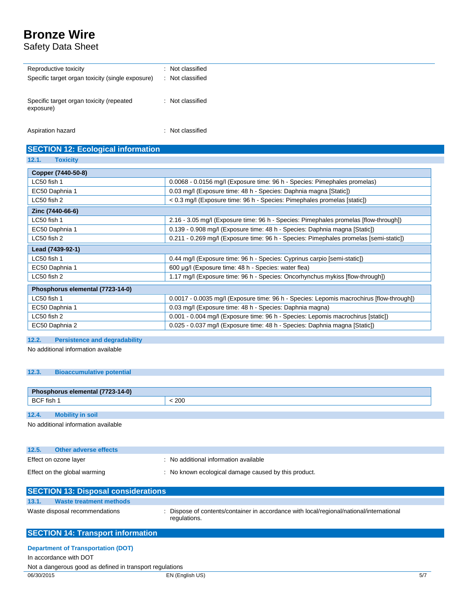Safety Data Sheet

| Reproductive toxicity                            | Not classified<br>٠. |
|--------------------------------------------------|----------------------|
| Specific target organ toxicity (single exposure) | Not classified       |
|                                                  |                      |
| Specific target organ toxicity (repeated         | Not classified       |
| exposure)                                        |                      |
|                                                  |                      |

Aspiration hazard : Not classified

## **SECTION 12: Ecological information**

**12.1. Toxicity**

| Copper (7440-50-8)               |                                                                                          |  |
|----------------------------------|------------------------------------------------------------------------------------------|--|
| $LC50$ fish 1                    | 0.0068 - 0.0156 mg/l (Exposure time: 96 h - Species: Pimephales promelas)                |  |
| EC50 Daphnia 1                   | 0.03 mg/l (Exposure time: 48 h - Species: Daphnia magna [Static])                        |  |
| $LC50$ fish 2                    | < 0.3 mg/l (Exposure time: 96 h - Species: Pimephales promelas [static])                 |  |
| Zinc (7440-66-6)                 |                                                                                          |  |
| $LC50$ fish 1                    | 2.16 - 3.05 mg/l (Exposure time: 96 h - Species: Pimephales promelas [flow-through])     |  |
| EC50 Daphnia 1                   | 0.139 - 0.908 mg/l (Exposure time: 48 h - Species: Daphnia magna [Static])               |  |
| $LC50$ fish 2                    | 0.211 - 0.269 mg/l (Exposure time: 96 h - Species: Pimephales promelas [semi-static])    |  |
| Lead (7439-92-1)                 |                                                                                          |  |
| $LC50$ fish 1                    | 0.44 mg/l (Exposure time: 96 h - Species: Cyprinus carpio [semi-static])                 |  |
| EC50 Daphnia 1                   | 600 µg/l (Exposure time: 48 h - Species: water flea)                                     |  |
| LC50 fish 2                      | 1.17 mg/l (Exposure time: 96 h - Species: Oncorhynchus mykiss [flow-through])            |  |
| Phosphorus elemental (7723-14-0) |                                                                                          |  |
| LC50 fish 1                      | 0.0017 - 0.0035 mg/l (Exposure time: 96 h - Species: Lepomis macrochirus [flow-through]) |  |
| EC50 Daphnia 1                   | 0.03 mg/l (Exposure time: 48 h - Species: Daphnia magna)                                 |  |
| LC50 fish 2                      | 0.001 - 0.004 mg/l (Exposure time: 96 h - Species: Lepomis macrochirus [static])         |  |
| EC50 Daphnia 2                   | 0.025 - 0.037 mg/l (Exposure time: 48 h - Species: Daphnia magna [Static])               |  |

## **12.2. Persistence and degradability**

No additional information available

### **12.3. Bioaccumulative potential**

| Phosphorus elemental (7723-14-0) |                         |     |
|----------------------------------|-------------------------|-----|
| BCF fish 1                       |                         | 200 |
|                                  |                         |     |
| 12.4.                            | <b>Mobility in soil</b> |     |

No additional information available

| 12.5.                        | Other adverse effects |                                                    |
|------------------------------|-----------------------|----------------------------------------------------|
|                              | Effect on ozone layer | No additional information available                |
| Effect on the global warming |                       | No known ecological damage caused by this product. |

| <b>SECTION 13: Disposal considerations</b>                          |                                                                                                          |  |  |  |  |  |
|---------------------------------------------------------------------|----------------------------------------------------------------------------------------------------------|--|--|--|--|--|
| <b>Waste treatment methods</b><br>13.1.                             |                                                                                                          |  |  |  |  |  |
| Waste disposal recommendations                                      | : Dispose of contents/container in accordance with local/regional/national/international<br>regulations. |  |  |  |  |  |
| <b>SECTION 14: Transport information</b>                            |                                                                                                          |  |  |  |  |  |
| <b>Department of Transportation (DOT)</b><br>In accordance with DOT |                                                                                                          |  |  |  |  |  |

06/30/2015 EN (English US) 5/7 Not a dangerous good as defined in transport regulations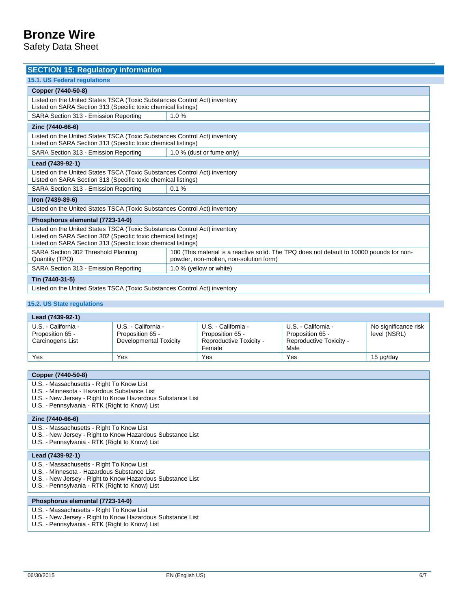Safety Data Sheet

| <b>SECTION 15: Regulatory information</b>                                                                                                                                                                   |                                                                                                                                     |  |  |  |  |  |
|-------------------------------------------------------------------------------------------------------------------------------------------------------------------------------------------------------------|-------------------------------------------------------------------------------------------------------------------------------------|--|--|--|--|--|
| <b>15.1. US Federal requlations</b>                                                                                                                                                                         |                                                                                                                                     |  |  |  |  |  |
| Copper (7440-50-8)                                                                                                                                                                                          |                                                                                                                                     |  |  |  |  |  |
| Listed on the United States TSCA (Toxic Substances Control Act) inventory<br>Listed on SARA Section 313 (Specific toxic chemical listings)                                                                  |                                                                                                                                     |  |  |  |  |  |
| SARA Section 313 - Emission Reporting                                                                                                                                                                       | 1.0%                                                                                                                                |  |  |  |  |  |
| Zinc (7440-66-6)                                                                                                                                                                                            |                                                                                                                                     |  |  |  |  |  |
| Listed on the United States TSCA (Toxic Substances Control Act) inventory<br>Listed on SARA Section 313 (Specific toxic chemical listings)                                                                  |                                                                                                                                     |  |  |  |  |  |
| SARA Section 313 - Emission Reporting                                                                                                                                                                       | 1.0 % (dust or fume only)                                                                                                           |  |  |  |  |  |
| Lead (7439-92-1)                                                                                                                                                                                            |                                                                                                                                     |  |  |  |  |  |
| Listed on the United States TSCA (Toxic Substances Control Act) inventory<br>Listed on SARA Section 313 (Specific toxic chemical listings)                                                                  |                                                                                                                                     |  |  |  |  |  |
| SARA Section 313 - Emission Reporting<br>0.1%                                                                                                                                                               |                                                                                                                                     |  |  |  |  |  |
| Iron (7439-89-6)                                                                                                                                                                                            |                                                                                                                                     |  |  |  |  |  |
| Listed on the United States TSCA (Toxic Substances Control Act) inventory                                                                                                                                   |                                                                                                                                     |  |  |  |  |  |
| Phosphorus elemental (7723-14-0)                                                                                                                                                                            |                                                                                                                                     |  |  |  |  |  |
| Listed on the United States TSCA (Toxic Substances Control Act) inventory<br>Listed on SARA Section 302 (Specific toxic chemical listings)<br>Listed on SARA Section 313 (Specific toxic chemical listings) |                                                                                                                                     |  |  |  |  |  |
| SARA Section 302 Threshold Planning<br>Quantity (TPQ)                                                                                                                                                       | 100 (This material is a reactive solid. The TPQ does not default to 10000 pounds for non-<br>powder, non-molten, non-solution form) |  |  |  |  |  |
| SARA Section 313 - Emission Reporting                                                                                                                                                                       | 1.0 % (yellow or white)                                                                                                             |  |  |  |  |  |
| Tin (7440-31-5)                                                                                                                                                                                             |                                                                                                                                     |  |  |  |  |  |
| Listed on the United States TSCA (Toxic Substances Control Act) inventory                                                                                                                                   |                                                                                                                                     |  |  |  |  |  |

### **15.2. US State regulations**

| Lead (7439-92-1)                                            |                                                                   |                                                                              |                                                                            |                                      |  |  |
|-------------------------------------------------------------|-------------------------------------------------------------------|------------------------------------------------------------------------------|----------------------------------------------------------------------------|--------------------------------------|--|--|
| U.S. - California -<br>Proposition 65 -<br>Carcinogens List | U.S. - California -<br>Proposition 65 -<br>Developmental Toxicity | U.S. - California -<br>Proposition 65 -<br>Reproductive Toxicity -<br>Female | U.S. - California -<br>Proposition 65 -<br>Reproductive Toxicity -<br>Male | No significance risk<br>level (NSRL) |  |  |
| Yes                                                         | Yes                                                               | Yes                                                                          | Yes                                                                        | 15 µg/day                            |  |  |
|                                                             |                                                                   |                                                                              |                                                                            |                                      |  |  |

| Copper (7440-50-8)                                                                                                                                                                                       |  |  |
|----------------------------------------------------------------------------------------------------------------------------------------------------------------------------------------------------------|--|--|
| U.S. - Massachusetts - Right To Know List<br>U.S. - Minnesota - Hazardous Substance List<br>U.S. - New Jersey - Right to Know Hazardous Substance List<br>U.S. - Pennsylvania - RTK (Right to Know) List |  |  |
| Zinc (7440-66-6)                                                                                                                                                                                         |  |  |
| U.S. - Massachusetts - Right To Know List<br>U.S. - New Jersey - Right to Know Hazardous Substance List<br>U.S. - Pennsylvania - RTK (Right to Know) List                                                |  |  |
| Lead (7439-92-1)                                                                                                                                                                                         |  |  |
| U.S. - Massachusetts - Right To Know List<br>U.S. - Minnesota - Hazardous Substance List<br>U.S. - New Jersey - Right to Know Hazardous Substance List<br>U.S. - Pennsylvania - RTK (Right to Know) List |  |  |
| Phosphorus elemental (7723-14-0)                                                                                                                                                                         |  |  |
| U.S. - Massachusetts - Right To Know List<br>U.S. - New Jersey - Right to Know Hazardous Substance List                                                                                                  |  |  |